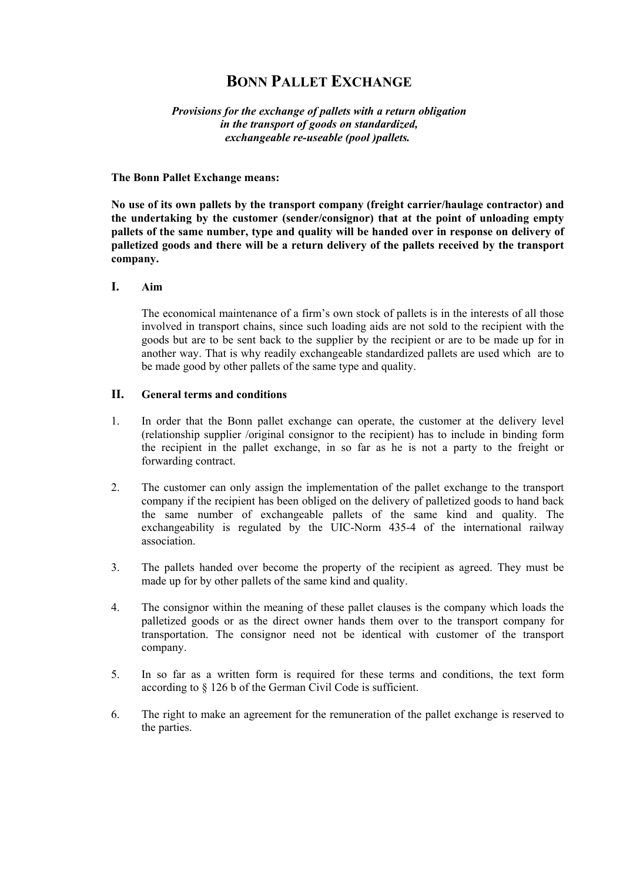# **BONN PALLET EXCHANGE**

*Provisions for the exchange of pallets with a return obligation in the transport of goods on standardized, exchangeable re-useable (pool )pallets.* 

### **The Bonn Pallet Exchange means:**

**No use of its own pallets by the transport company (freight carrier/haulage contractor) and the undertaking by the customer (sender/consignor) that at the point of unloading empty pallets of the same number, type and quality will be handed over in response on delivery of palletized goods and there will be a return delivery of the pallets received by the transport company.** 

#### **I. Aim**

The economical maintenance of a firm's own stock of pallets is in the interests of all those involved in transport chains, since such loading aids are not sold to the recipient with the goods but are to be sent back to the supplier by the recipient or are to be made up for in another way. That is why readily exchangeable standardized pallets are used which are to be made good by other pallets of the same type and quality.

### **II. General terms and conditions**

- 1. In order that the Bonn pallet exchange can operate, the customer at the delivery level (relationship supplier /original consignor to the recipient) has to include in binding form the recipient in the pallet exchange, in so far as he is not a party to the freight or forwarding contract.
- 2. The customer can only assign the implementation of the pallet exchange to the transport company if the recipient has been obliged on the delivery of palletized goods to hand back the same number of exchangeable pallets of the same kind and quality. The exchangeability is regulated by the UIC-Norm 435-4 of the international railway association.
- 3. The pallets handed over become the property of the recipient as agreed. They must be made up for by other pallets of the same kind and quality.
- 4. The consignor within the meaning of these pallet clauses is the company which loads the palletized goods or as the direct owner hands them over to the transport company for transportation. The consignor need not be identical with customer of the transport company.
- 5. In so far as a written form is required for these terms and conditions, the text form according to § 126 b of the German Civil Code is sufficient.
- 6. The right to make an agreement for the remuneration of the pallet exchange is reserved to the parties.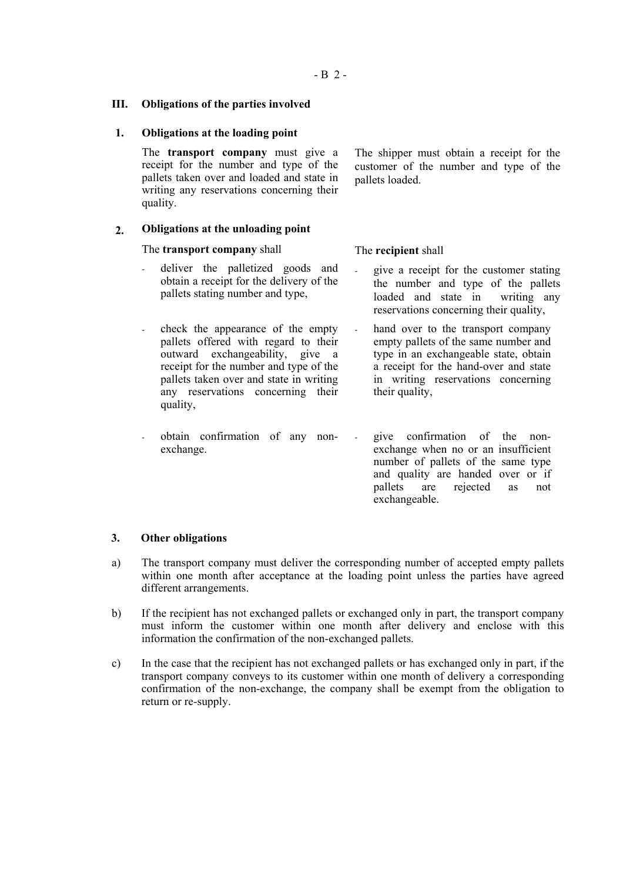#### **III. Obligations of the parties involved**

#### **1. Obligations at the loading point**

The **transport company** must give a receipt for the number and type of the pallets taken over and loaded and state in writing any reservations concerning their quality.

The shipper must obtain a receipt for the customer of the number and type of the pallets loaded.

#### **2. Obligations at the unloading point**

#### The **transport company** shall

- deliver the palletized goods and obtain a receipt for the delivery of the pallets stating number and type,
- check the appearance of the empty pallets offered with regard to their outward exchangeability, give a receipt for the number and type of the pallets taken over and state in writing any reservations concerning their quality,
- obtain confirmation of any nonexchange.

The **recipient** shall give a receipt for the customer stating the number and type of the pallets

loaded and state in writing any

- reservations concerning their quality, hand over to the transport company empty pallets of the same number and type in an exchangeable state, obtain
- a receipt for the hand-over and state in writing reservations concerning their quality,
- give confirmation of the nonexchange when no or an insufficient number of pallets of the same type and quality are handed over or if pallets are rejected as not exchangeable.

#### **3. Other obligations**

- a) The transport company must deliver the corresponding number of accepted empty pallets within one month after acceptance at the loading point unless the parties have agreed different arrangements.
- b) If the recipient has not exchanged pallets or exchanged only in part, the transport company must inform the customer within one month after delivery and enclose with this information the confirmation of the non-exchanged pallets.
- c) In the case that the recipient has not exchanged pallets or has exchanged only in part, if the transport company conveys to its customer within one month of delivery a corresponding confirmation of the non-exchange, the company shall be exempt from the obligation to return or re-supply.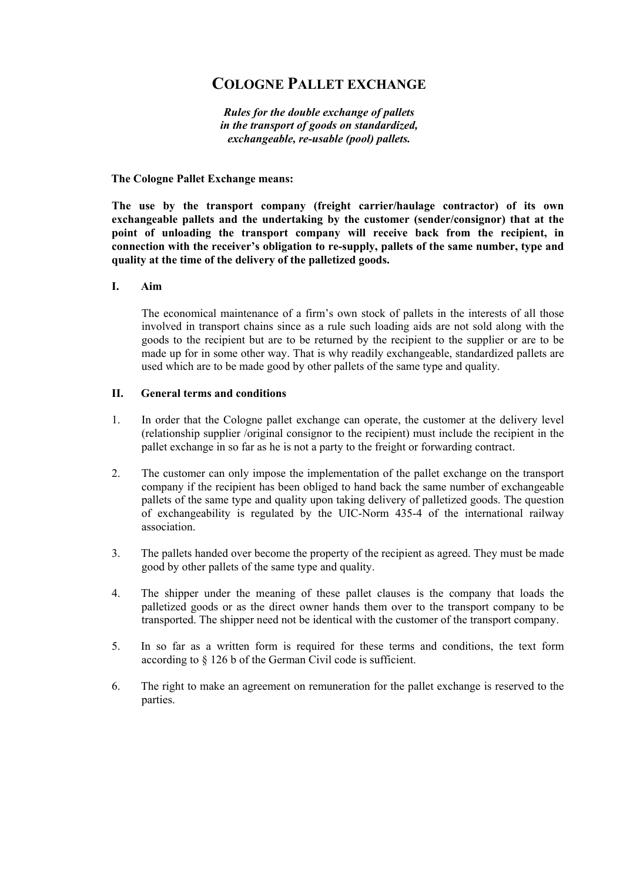# **COLOGNE PALLET EXCHANGE**

*Rules for the double exchange of pallets in the transport of goods on standardized, exchangeable, re-usable (pool) pallets.* 

#### **The Cologne Pallet Exchange means:**

**The use by the transport company (freight carrier/haulage contractor) of its own exchangeable pallets and the undertaking by the customer (sender/consignor) that at the point of unloading the transport company will receive back from the recipient, in connection with the receiver's obligation to re-supply, pallets of the same number, type and quality at the time of the delivery of the palletized goods.** 

#### **I. Aim**

The economical maintenance of a firm's own stock of pallets in the interests of all those involved in transport chains since as a rule such loading aids are not sold along with the goods to the recipient but are to be returned by the recipient to the supplier or are to be made up for in some other way. That is why readily exchangeable, standardized pallets are used which are to be made good by other pallets of the same type and quality.

#### **II. General terms and conditions**

- 1. In order that the Cologne pallet exchange can operate, the customer at the delivery level (relationship supplier /original consignor to the recipient) must include the recipient in the pallet exchange in so far as he is not a party to the freight or forwarding contract.
- 2. The customer can only impose the implementation of the pallet exchange on the transport company if the recipient has been obliged to hand back the same number of exchangeable pallets of the same type and quality upon taking delivery of palletized goods. The question of exchangeability is regulated by the UIC-Norm 435-4 of the international railway association.
- 3. The pallets handed over become the property of the recipient as agreed. They must be made good by other pallets of the same type and quality.
- 4. The shipper under the meaning of these pallet clauses is the company that loads the palletized goods or as the direct owner hands them over to the transport company to be transported. The shipper need not be identical with the customer of the transport company.
- 5. In so far as a written form is required for these terms and conditions, the text form according to § 126 b of the German Civil code is sufficient.
- 6. The right to make an agreement on remuneration for the pallet exchange is reserved to the parties.